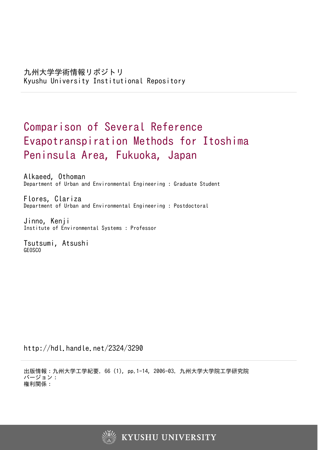# Comparison of Several Reference Evapotranspiration Methods for Itoshima Peninsula Area, Fukuoka, Japan

Alkaeed, Othoman Department of Urban and Environmental Engineering : Graduate Student

Flores, Clariza Department of Urban and Environmental Engineering : Postdoctoral

Jinno, Kenji Institute of Environmental Systems : Professor

Tsutsumi, Atsushi GEOSCO

http://hdl.handle.net/2324/3290

出版情報:九州大学工学紀要. 66 (1), pp.1-14, 2006-03. 九州大学大学院工学研究院 バージョン: 権利関係:

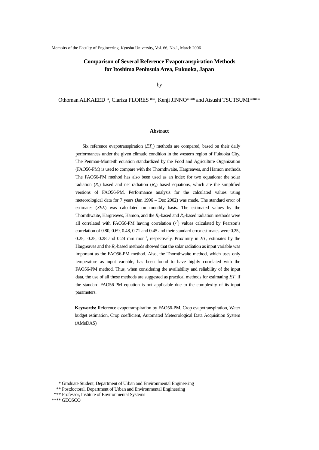# **Comparison of Several Reference Evapotranspiration Methods for Itoshima Peninsula Area, Fukuoka, Japan**

by

Othoman ALKAEED \*, Clariza FLORES \*\*, Kenji JINNO\*\*\* and Atsushi TSUTSUMI\*\*\*\*

# **Abstract**

Six reference evapotranspiration  $(ET<sub>o</sub>)$  methods are compared, based on their daily performances under the given climatic condition in the western region of Fukuoka City. The Penman-Monteith equation standardized by the Food and Agriculture Organization (FAO56-PM) is used to compare with the Thornthwaite, Hargreaves, and Hamon methods. The FAO56-PM method has also been used as an index for two equations: the solar radiation  $(R<sub>s</sub>)$  based and net radiation  $(R<sub>n</sub>)$  based equations, which are the simplified versions of FAO56-PM. Performance analysis for the calculated values using meteorological data for 7 years (Jan 1996 – Dec 2002) was made. The standard error of estimates (*SEE*) was calculated on monthly basis. The estimated values by the Thornthwaite, Hargreaves, Hamon, and the  $R_s$ -based and  $R_n$ -based radiation methods were all correlated with FAO56-PM having correlation  $(r^2)$  values calculated by Pearson's correlation of 0.80, 0.69, 0.48, 0.71 and 0.45 and their standard error estimates were 0.25, 0.25, 0.25, 0.28 and 0.24 mm mon<sup>-1</sup>, respectively. Proximity in  $ET<sub>o</sub>$  estimates by the Hargreaves and the  $R_s$ -based methods showed that the solar radiation as input variable was important as the FAO56-PM method. Also, the Thornthwaite method, which uses only temperature as input variable, has been found to have highly correlated with the FAO56-PM method. Thus, when considering the availability and reliability of the input data, the use of all these methods are suggested as practical methods for estimating  $ET<sub>o</sub>$  if the standard FAO56-PM equation is not applicable due to the complexity of its input parameters.

**Keywords:** Reference evapotranspiration by FAO56-PM, Crop evapotranspiration, Water budget estimation, Crop coefficient, Automated Meteorological Data Acquisition System (AMeDAS)

-

 <sup>\*</sup> Graduate Student, Department of Urban and Environmental Engineering

 <sup>\*\*</sup> Postdoctoral, Department of Urban and Environmental Engineering

 <sup>\*\*\*</sup> Professor, Institute of Environmental Systems

<sup>\*\*\*\*</sup> GEOSCO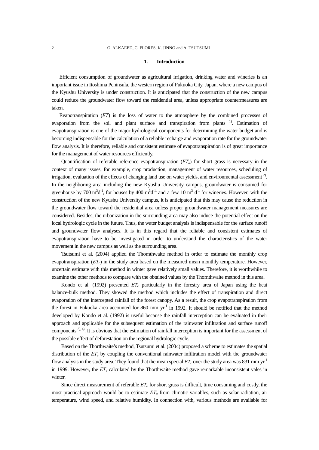# **1. Introduction**

 Efficient consumption of groundwater as agricultural irrigation, drinking water and wineries is an important issue in Itoshima Peninsula, the western region of Fukuoka City, Japan, where a new campus of the Kyushu University is under construction. It is anticipated that the construction of the new campus could reduce the groundwater flow toward the residential area, unless appropriate countermeasures are taken.

 Evapotranspiration (*ET*) is the loss of water to the atmosphere by the combined processes of evaporation from the soil and plant surface and transpiration from plants <sup>1</sup>. Estimation of evapotranspiration is one of the major hydrological components for determining the water budget and is becoming indispensable for the calculation of a reliable recharge and evaporation rate for the groundwater flow analysis. It is therefore, reliable and consistent estimate of evapotranspiration is of great importance for the management of water resources efficiently.

Quantification of referable reference evapotranspiration  $(ET<sub>o</sub>)$  for short grass is necessary in the context of many issues, for example, crop production, management of water resources, scheduling of irrigation, evaluation of the effects of changing land use on water yields, and environmental assessment<sup>2)</sup>. In the neighboring area including the new Kyushu University campus, groundwater is consumed for greenhouse by 700  $m^3d^1$ , for houses by 400  $m^3d^1$ , and a few 10  $m^3d^1$  for wineries. However, with the construction of the new Kyushu University campus, it is anticipated that this may cause the reduction in the groundwater flow toward the residential area unless proper groundwater management measures are considered. Besides, the urbanization in the surrounding area may also induce the potential effect on the local hydrologic cycle in the future. Thus, the water budget analysis is indispensable for the surface runoff and groundwater flow analyses. It is in this regard that the reliable and consistent estimates of evapotranspiration have to be investigated in order to understand the characteristics of the water movement in the new campus as well as the surrounding area.

Tsutsumi et al. (2004) applied the Thornthwaite method in order to estimate the monthly crop evapotranspiration  $(ET_c)$  in the study area based on the measured mean monthly temperature. However, uncertain estimate with this method in winter gave relatively small values. Therefore, it is worthwhile to examine the other methods to compare with the obtained values by the Thornthwaite method in this area.

Kondo et al. (1992) presented  $ET_c$  particularly in the forestry area of Japan using the heat balance-bulk method. They showed the method which includes the effect of transpiration and direct evaporation of the intercepted rainfall of the forest canopy. As a result, the crop evapotranspiration from the forest in Fukuoka area accounted for 860 mm  $yr^{-1}$  in 1992. It should be notified that the method developed by Kondo et al. (1992) is useful because the rainfall interception can be evaluated in their approach and applicable for the subsequent estimation of the rainwater infiltration and surface runoff components  $3, 4$ ). It is obvious that the estimation of rainfall interception is important for the assessment of the possible effect of deforestation on the regional hydrologic cycle.

Based on the Thorthwaite's method, Tsutsumi et al. (2004) proposed a scheme to estimates the spatial distribution of the *ET<sub>c</sub>* by coupling the conventional rainwater infiltration model with the groundwater flow analysis in the study area. They found that the mean special  $ET_c$  over the study area was 831 mm yr<sup>-1</sup> in 1999. However, the  $ET_c$  calculated by the Thorthwaite method gave remarkable inconsistent vales in winter.

Since direct measurement of referable  $ET<sub>o</sub>$  for short grass is difficult, time consuming and costly, the most practical approach would be to estimate *ETo* from climatic variables, such as solar radiation, air temperature, wind speed, and relative humidity. In connection with, various methods are available for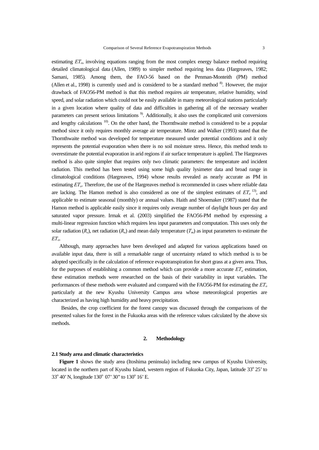estimating *ETo*, involving equations ranging from the most complex energy balance method requiring detailed climatological data (Allen, 1989) to simpler method requiring less data (Hargreaves, 1982; Samani, 1985). Among them, the FAO-56 based on the Penman-Monteith (PM) method (Allen et al., 1998) is currently used and is considered to be a standard method <sup>8</sup>. However, the major drawback of FAO56-PM method is that this method requires air temperature, relative humidity, wind speed, and solar radiation which could not be easily available in many meteorological stations particularly in a given location where quality of data and difficulties in gathering all of the necessary weather parameters can present serious limitations 9). Additionally, it also uses the complicated unit conversions and lengthy calculations <sup>10</sup>. On the other hand, the Thornthwaite method is considered to be a popular method since it only requires monthly average air temperature. Mintz and Walker (1993) stated that the Thornthwaite method was developed for temperature measured under potential conditions and it only represents the potential evaporation when there is no soil moisture stress. Hence, this method tends to overestimate the potential evaporation in arid regions if air surface temperature is applied. The Hargreaves method is also quite simpler that requires only two climatic parameters: the temperature and incident radiation. This method has been tested using some high quality lysimeter data and broad range in climatological conditions (Hargreaves, 1994) whose results revealed as nearly accurate as PM in

estimating *ETo*. Therefore, the use of the Hargreaves method is recommended in cases where reliable data are lacking. The Hamon method is also considered as one of the simplest estimates of  $ET_0$ <sup>13</sup>), and applicable to estimate seasonal (monthly) or annual values. Haith and Shoemaker (1987) stated that the Hamon method is applicable easily since it requires only average number of daylight hours per day and saturated vapor pressure. Irmak et al. (2003) simplified the FAO56-PM method by expressing a multi-linear regression function which requires less input parameters and computation. This uses only the solar radiation  $(R_s)$ , net radiation  $(R_n)$  and mean daily temperature  $(T_m)$  as input parameters to estimate the  $ET_{\alpha}$ .

Although, many approaches have been developed and adapted for various applications based on available input data, there is still a remarkable range of uncertainty related to which method is to be adopted specifically in the calculation of reference evapotranspiration for short grass at a given area. Thus, for the purposes of establishing a common method which can provide a more accurate  $ET<sub>o</sub>$  estimation, these estimation methods were researched on the basis of their variability in input variables. The performances of these methods were evaluated and compared with the FAO56-PM for estimating the *ETo* particularly at the new Kyushu University Campus area whose meteorological properties are characterized as having high humidity and heavy precipitation.

Besides, the crop coefficient for the forest canopy was discussed through the comparisons of the presented values for the forest in the Fukuoka areas with the reference values calculated by the above six methods.

## **2. Methodology**

# **2.1 Study area and climatic characteristics**

**Figure 1** shows the study area (Itoshima peninsula) including new campus of Kyushu University, located in the northern part of Kyushu Island, western region of Fukuoka City, Japan, latitude 33° 25' to 33° 40' N, longitude 130° 07' 30" to 130° 16' E.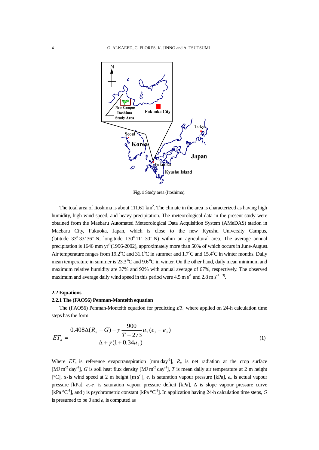

**Fig. 1** Study area (Itoshima).

The total area of Itoshima is about  $111.61 \text{ km}^2$ . The climate in the area is characterized as having high humidity, high wind speed, and heavy precipitation. The meteorological data in the present study were obtained from the Maebaru Automated Meteorological Data Acquisition System (AMeDAS) station in Maebaru City, Fukuoka, Japan, which is close to the new Kyushu University Campus, (latitude  $33^{\circ}$  33' 36" N, longitude  $130^{\circ}$  11' 30" N) within an agricultural area. The average annual precipitation is 1646 mm yr<sup>-1</sup>(1996-2002), approximately more than 50% of which occurs in June-August. Air temperature ranges from 19.2°C and 31.1°C in summer and 1.7°C and 15.4°C in winter months. Daily mean temperature in summer is  $23.3^{\circ}$ C and  $9.6^{\circ}$ C in winter. On the other hand, daily mean minimum and maximum relative humidity are 37% and 92% with annual average of 67%, respectively. The observed maximum and average daily wind speed in this period were  $4.5 \text{ m s}^{-1}$  and  $2.8 \text{ m s}^{-1}$ . <sup>3)</sup>.

## **2.2 Equations**

# **2.2.1 The (FAO56) Penman-Monteith equation**

The (FAO56) Penman-Monteith equation for predicting *ET<sub>o</sub>* where applied on 24-h calculation time steps has the form:

$$
ET_o = \frac{0.408\Delta(R_n - G) + \gamma \frac{900}{T + 273}u_2(e_s - e_a)}{\Delta + \gamma(1 + 0.34u_2)}
$$
(1)

Where  $ET_o$  is reference evapotranspiration [mm day<sup>-1</sup>],  $R_n$  is net radiation at the crop surface [MJ m<sup>-2</sup> day<sup>-1</sup>], *G* is soil heat flux density [MJ m<sup>-2</sup> day<sup>-1</sup>], *T* is mean daily air temperature at 2 m height [°C],  $u_2$  is wind speed at 2 m height [m s<sup>-1</sup>],  $e_s$  is saturation vapour pressure [kPa],  $e_a$  is actual vapour pressure [kPa], *es*-*ea* is saturation vapour pressure deficit [kPa], Δ is slope vapour pressure curve [kPa °C-1], and *γ* is psychrometric constant [kPa °C-1]. In application having 24-h calculation time steps, *G* is presumed to be 0 and *es* is computed as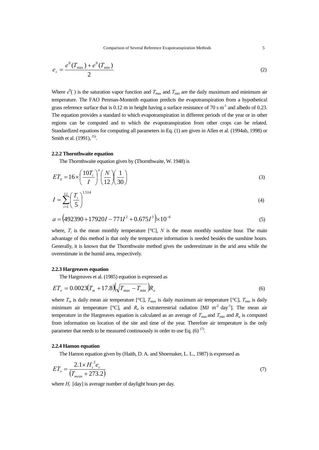Comparison of Several Reference Evapotranspiration Methods 5

$$
e_s = \frac{e^0 (T_{\text{max}}) + e^0 (T_{\text{min}})}{2} \tag{2}
$$

Where  $e^{0}$ () is the saturation vapor function and  $T_{\text{max}}$  and  $T_{\text{min}}$  are the daily maximum and minimum air temperature. The FAO Penman-Monteith equation predicts the evapotranspiration from a hypothetical grass reference surface that is  $0.12$  m in height having a surface resistance of 70 s m<sup>-1</sup> and albedo of 0.23. The equation provides a standard to which evapotranspiration in different periods of the year or in other regions can be computed and to which the evapotranspiration from other crops can be related. Standardized equations for computing all parameters in Eq. (1) are given in Allen et al. (1994ab, 1998) or Smith et al. (1991), <sup>15)</sup>.

## **2.2.2 Thornthwaite equation**

The Thornthwaite equation given by (Thornthwaite, W. 1948) is

$$
ET_0 = 16 \times \left(\frac{10T_i}{I}\right)^a \left(\frac{N}{12}\right) \left(\frac{1}{30}\right)
$$
\n(3)

$$
I = \sum_{i=1}^{12} \left(\frac{T_i}{5}\right)^{1.514} \tag{4}
$$

$$
a = (492390 + 17920I - 771I^2 + 0.675I^3) \times 10^{-6}
$$
\n<sup>(5)</sup>

where,  $T_i$  is the mean monthly temperature  $[^{\circ}C]$ , *N* is the mean monthly sunshine hour. The main advantage of this method is that only the temperature information is needed besides the sunshine hours. Generally, it is known that the Thornthwaite method gives the underestimate in the arid area while the overestimate in the humid area, respectively.

## **2.2.3 Hargreaves equation**

The Hargreaves et al. (1985) equation is expressed as

$$
ET_o = 0.0023(T_m + 17.8)\left(\sqrt{T_{\text{max}} - T_{\text{min}}}\right)R_a\tag{6}
$$

where  $T_m$  is daily mean air temperature [°C],  $T_{\text{max}}$  is daily maximum air temperature [°C],  $T_{\text{min}}$  is daily minimum air temperature [°C], and  $R_a$  is extraterrestrial radiation [MJ m<sup>-2</sup> day<sup>-1</sup>]. The mean air temperature in the Hargreaves equation is calculated as an average of  $T_{\text{max}}$  and  $T_{\text{min}}$  and  $R_a$  is computed from information on location of the site and time of the year. Therefore air temperature is the only parameter that needs to be measured continuously in order to use Eq.  $(6)$ <sup>17)</sup>.

#### **2.2.4 Hamon equation**

The Hamon equation given by (Haith, D. A. and Shoemaker, L. L., 1987) is expressed as

$$
ET_o = \frac{2.1 \times H_i^2 e_s}{(T_{mean} + 273.2)}
$$
(7)

where  $H_t$  [day] is average number of daylight hours per day.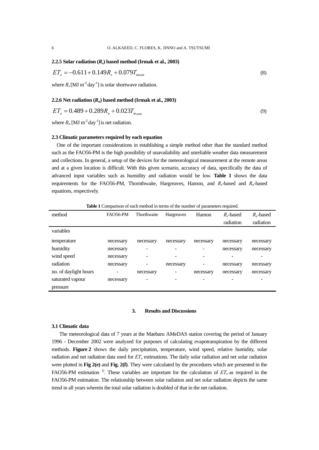# **2.2.5 Solar radiation**  $(R_s)$  **based method (Irmak et al., 2003)**

$$
ET_o = -0.611 + 0.149R_s + 0.079T_{mean}
$$
\n(8)

where  $R_s$ [MJ m<sup>-2</sup> day<sup>-1</sup>] is solar shortwave radiation.

## **2.2.6 Net radiation**  $(R_n)$  **based method (Irmak et al., 2003)**

$$
ET_o = 0.489 + 0.289R_n + 0.023T_{mean}
$$
\n(9)

where  $R_n$  [MJ m<sup>-2</sup> day<sup>-1</sup>] is net radiation.

# **2.3 Climatic parameters required by each equation**

One of the important considerations in establishing a simple method other than the standard method such as the FAO56-PM is the high possibility of unavailability and unreliable weather data measurement and collections. In general, a setup of the devices for the meteorological measurement at the remote areas and at a given location is difficult. With this given scenario, accuracy of data, specifically the data of advanced input variables such as humidity and radiation would be low. **Table 1** shows the data requirements for the FAO56-PM, Thornthwaite, Hargreaves, Hamon, and  $R_s$ -based and  $R_n$ -based equations, respectively.

**Table 1** Comparison of each method in terms of the number of parameters required.

| method                | <b>FAO56-PM</b> | Thorthwaite | Hargreaves | Hamon     | $R_s$ -based | $R_n$ -based |
|-----------------------|-----------------|-------------|------------|-----------|--------------|--------------|
|                       |                 |             |            |           | radiation    | radiation    |
| variables             |                 |             |            |           |              |              |
| temperature           | necessary       | necessary   | necessary  | necessary | necessary    | necessary    |
| humidity              | necessary       |             |            |           | necessary    | necessary    |
| wind speed            | necessary       |             |            |           |              |              |
| radiation             | necessary       |             | necessary  |           | necessary    | necessary    |
| no. of daylight hours | -               | necessary   |            | necessary | necessary    | necessary    |
| saturated vapour      | necessary       |             |            |           |              |              |
| pressure              |                 |             |            |           |              |              |

# **3. Results and Discussions**

## **3.1 Climatic data**

 The meteorological data of 7 years at the Maebaru AMeDAS station covering the period of January 1996 - December 2002 were analyzed for purposes of calculating evapotranspiration by the different methods. **Figure 2** shows the daily precipitation, temperature, wind speed, relative humidity, solar radiation and net radiation data used for *ETo* estimations. The daily solar radiation and net solar radiation were plotted in **Fig 2(e)** and **Fig. 2(f)**. They were calculated by the procedures which are presented in the FAO56-PM estimation<sup>1</sup>. These variables are important for the calculation of  $ET<sub>o</sub>$  as required in the FAO56-PM estimation. The relationship between solar radiation and net solar radiation depicts the same trend in all years wherein the total solar radiation is doubled of that in the net radiation.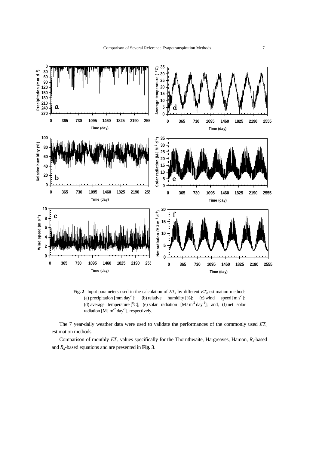

**Fig. 2** Input parameters used in the calculation of  $ET<sub>o</sub>$  by different  $ET<sub>o</sub>$  estimation methods (a) precipitation  $\text{[mm day}^{-1}$ ; (b) relative humidity [%]; (c) wind speed  $\text{[m s}^{-1}$ ; (d) average temperature [ $^{\circ}$ C]; (e) solar radiation [MJ m<sup>-2</sup> day<sup>-1</sup>]; and, (f) net solar radiation [MJ m<sup>-2</sup> day<sup>-1</sup>], respectively.

The 7 year-daily weather data were used to validate the performances of the commonly used  $ET<sub>o</sub>$ estimation methods.

Comparison of monthly  $ET<sub>o</sub>$  values specifically for the Thornthwaite, Hargreaves, Hamon,  $R<sub>s</sub>$ -based and *Rn*-based equations and are presented in **Fig. 3**.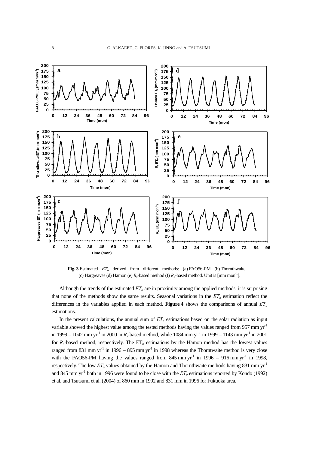

Fig. 3 Estimated *ET<sub>o</sub>* derived from different methods: (a) FAO56-PM (b) Thornthwaite (c) Hargreaves (d) Hamon (e)  $R_s$ -based method (f)  $R_n$ -based method. Unit is [mm mon<sup>-1</sup>].

Although the trends of the estimated  $ET<sub>o</sub>$  are in proximity among the applied methods, it is surprising that none of the methods show the same results. Seasonal variations in the  $ET<sub>o</sub>$  estimation reflect the differences in the variables applied in each method. **Figure 4** shows the comparisons of annual  $ET<sub>o</sub>$ estimations.

In the present calculations, the annual sum of  $ET<sub>o</sub>$  estimations based on the solar radiation as input variable showed the highest value among the tested methods having the values ranged from 957 mm yr<sup>-1</sup> in 1999 – 1042 mm yr<sup>-1</sup> in 2000 in *R<sub>s</sub>*-based method, while 1084 mm yr<sup>-1</sup> in 1999 – 1143 mm yr<sup>-1</sup> in 2001 for  $R_n$ -based method, respectively. The  $ET_0$  estimations by the Hamon method has the lowest values ranged from 831 mm yr<sup>-1</sup> in 1996 – 895 mm yr<sup>-1</sup> in 1998 whereas the Thorntwaite method is very close with the FAO56-PM having the values ranged from 845 mm  $yr^{-1}$  in 1996 – 916 mm  $yr^{-1}$  in 1998, respectively. The low  $ET<sub>o</sub>$  values obtained by the Hamon and Thornthwaite methods having 831 mm yr<sup>-1</sup> and 845 mm yr<sup>-1</sup> both in 1996 were found to be close with the  $ET<sub>o</sub>$  estimations reported by Kondo (1992) et al. and Tsutsumi et al. (2004) of 860 mm in 1992 and 831 mm in 1996 for Fukuoka area.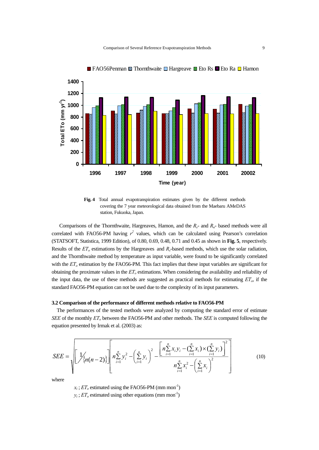

■ FAO56Penman  $\blacksquare$  Thornthwaite  $\blacksquare$  Hargreave  $\blacksquare$  Eto Rs  $\blacksquare$  Eto Ra  $\blacksquare$  Hamon

**Fig. 4** Total annual evapotranspiration estimates given by the different methods covering the 7 year meteorological data obtained from the Maebaru AMeDAS station, Fukuoka, Japan.

Comparisons of the Thornthwaite, Hargreaves, Hamon, and the *Rs*- and *Rn*- based methods were all correlated with FAO56-PM having  $r^2$  values, which can be calculated using Pearson's correlation (STATSOFT, Statistica, 1999 Edition), of 0.80, 0.69, 0.48, 0.71 and 0.45 as shown in **Fig. 5**, respectively. Results of the *ET<sub>o</sub>* estimations by the Hargreaves and *R<sub>s</sub>*-based methods, which use the solar radiation, and the Thornthwaite method by temperature as input variable, were found to be significantly correlated with the  $ET<sub>o</sub>$  estimation by the FAO56-PM. This fact implies that these input variables are significant for obtaining the proximate values in the *ETo* estimations. When considering the availability and reliability of the input data, the use of these methods are suggested as practical methods for estimating *ETo*, if the standard FAO56-PM equation can not be used due to the complexity of its input parameters.

## **3.2 Comparison of the performance of different methods relative to FAO56-PM**

 The performances of the tested methods were analyzed by computing the standard error of estimate *SEE* of the monthly  $ET<sub>o</sub>$  between the FAO56-PM and other methods. The *SEE* is computed following the equation presented by Irmak et al. (2003) as:

$$
SEE = \sqrt{\left[\frac{1}{\sqrt{\left(n(n-2)\right)}}\right] \left[n\sum_{i=1}^{n} y_i^2 - \left(\sum_{i=1}^{n} y_i\right)^2 - \frac{\left[n\sum_{i=1}^{n} x_i y_i - \left(\sum_{i=1}^{n} x_i\right) \times \left(\sum_{i=1}^{n} y_i\right)\right]^2}{n\sum_{i=1}^{n} x_i^2 - \left(\sum_{i=1}^{n} x_i\right)^2}\right]}
$$
(10)

where

 $x_i$ ;  $ET_o$  estimated using the FAO56-PM (mm mon<sup>-1</sup>)

 $y_i$ ;  $ET<sub>o</sub>$  estimated using other equations (mm mon<sup>-1</sup>)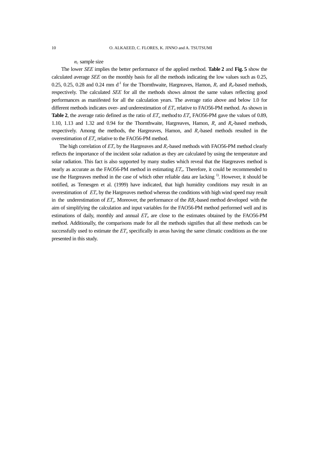# *ni;* sample size

The lower *SEE* implies the better performance of the applied method. **Table 2** and **Fig. 5** show the calculated average *SEE* on the monthly basis for all the methods indicating the low values such as 0.25, 0.25, 0.25, 0.28 and 0.24 mm  $d<sup>-1</sup>$  for the Thornthwaite, Hargreaves, Hamon,  $R_s$  and  $R_n$ -based methods, respectively. The calculated *SEE* for all the methods shows almost the same values reflecting good performances as manifested for all the calculation years. The average ratio above and below 1.0 for different methods indicates over- and underestimation of  $ET<sub>o</sub>$  relative to FAO56-PM method. As shown in **Table 2**, the average ratio defined as the ratio of  $ET_0$  method to  $ET_0$  FAO56-PM gave the values of 0.89, 1.10, 1.13 and 1.32 and 0.94 for the Thornthwaite, Hargreaves, Hamon, *Rs* and *Rn*-based methods, respectively. Among the methods, the Hargreaves, Hamon, and *Rs*-based methods resulted in the overestimation of  $ET<sub>o</sub>$  relative to the FAO56-PM method.

The high correlation of  $ET<sub>o</sub>$  by the Hargreaves and  $R<sub>s</sub>$ -based methods with FAO56-PM method clearly reflects the importance of the incident solar radiation as they are calculated by using the temperature and solar radiation. This fact is also supported by many studies which reveal that the Hargreaves method is nearly as accurate as the FAO56-PM method in estimating *ETo*. Therefore, it could be recommended to use the Hargreaves method in the case of which other reliable data are lacking <sup>1)</sup>. However, it should be notified, as Temesgen et al. (1999) have indicated, that high humidity conditions may result in an overestimation of *ETo* by the Hargreaves method whereas the conditions with high wind speed may result in the underestimation of  $ET<sub>o</sub>$ . Moreover, the performance of the  $RB<sub>s</sub>$ -based method developed with the aim of simplifying the calculation and input variables for the FAO56-PM method performed well and its estimations of daily, monthly and annual  $ET<sub>o</sub>$  are close to the estimates obtained by the FAO56-PM method. Additionally, the comparisons made for all the methods signifies that all these methods can be successfully used to estimate the  $ET<sub>o</sub>$  specifically in areas having the same climatic conditions as the one presented in this study.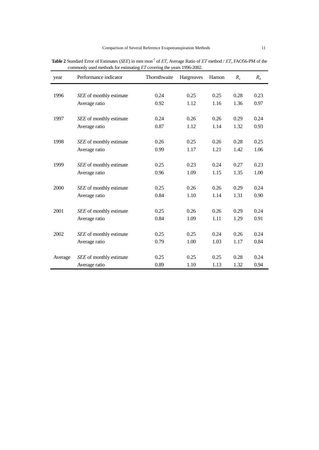| year    | Performance indicator   | Thornthwaite | Hargreaves | Hamon | $R_{s}$ | $R_n$ |
|---------|-------------------------|--------------|------------|-------|---------|-------|
|         |                         |              |            | 0.25  |         |       |
| 1996    | SEE of monthly estimate | 0.24         | 0.25       |       | 0.28    | 0.23  |
|         | Average ratio           | 0.92         | 1.12       | 1.16  | 1.36    | 0.97  |
| 1997    | SEE of monthly estimate | 0.24         | 0.26       | 0.26  | 0.29    | 0.24  |
|         | Average ratio           | 0.87         | 1.12       | 1.14  | 1.32    | 0.93  |
|         |                         |              |            |       |         |       |
| 1998    | SEE of monthly estimate | 0.26         | 0.25       | 0.26  | 0.28    | 0.25  |
|         | Average ratio           | 0.99         | 1.17       | 1.21  | 1.42    | 1.06  |
| 1999    | SEE of monthly estimate | 0.25         | 0.23       | 0.24  | 0.27    | 0.23  |
|         | Average ratio           | 0.96         | 1.09       | 1.15  | 1.35    | 1.00  |
|         |                         |              |            |       |         |       |
| 2000    | SEE of monthly estimate | 0.25         | 0.26       | 0.26  | 0.29    | 0.24  |
|         | Average ratio           | 0.84         | 1.10       | 1.14  | 1.31    | 0.90  |
| 2001    | SEE of monthly estimate | 0.25         | 0.26       | 0.26  | 0.29    | 0.24  |
|         | Average ratio           | 0.84         | 1.09       | 1.11  | 1.29    | 0.91  |
|         |                         |              |            |       |         |       |
| 2002    | SEE of monthly estimate | 0.25         | 0.25       | 0.24  | 0.26    | 0.24  |
|         | Average ratio           | 0.79         | 1.00       | 1.03  | 1.17    | 0.84  |
|         | SEE of monthly estimate | 0.25         | 0.25       | 0.25  | 0.28    | 0.24  |
| Average |                         |              |            |       |         |       |
|         | Average ratio           | 0.89         | 1.10       | 1.13  | 1.32    | 0.94  |

**Table 2** Standard Error of Estimates (*SEE*) in mm mon<sup>-1</sup> of *ET*, Average Ratio of *ET* method / *ET*<sub>o</sub> FAO56-PM of the commonly used methods for estimating *ET* covering the years 1996-2002. -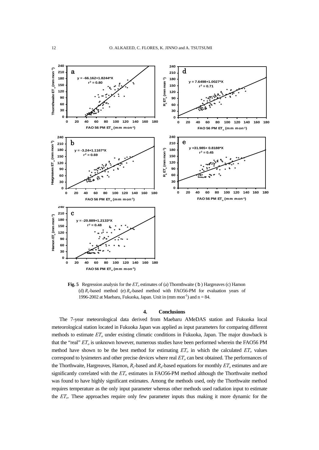

**Fig. 5** Regression analysis for the  $ET<sub>o</sub>$  estimates of (a) Thornthwaite (b) Hargreaves (c) Hamon (d)  $R_s$ -based method (e)  $R_n$ -based method with FAO56-PM for evaluation years of 1996-2002 at Maebaru, Fukuoka, Japan. Unit in  $(mm m<sup>-1</sup>)$  and  $n = 84$ .

#### **4. Conclusions**

The 7-year meteorological data derived from Maebaru AMeDAS station and Fukuoka local meteorological station located in Fukuoka Japan was applied as input parameters for comparing different methods to estimate *ETo* under existing climatic conditions in Fukuoka, Japan. The major drawback is that the "real" *ETo* is unknown however, numerous studies have been performed wherein the FAO56 PM method have shown to be the best method for estimating  $ET<sub>o</sub>$  in which the calculated  $ET<sub>o</sub>$  values correspond to lysimeters and other precise devices where real *ETo* can best obtained. The performances of the Thorthwaite, Hargreaves, Hamon,  $R_s$ -based and  $R_n$ -based equations for monthly  $ET_o$  estimates and are significantly correlated with the *ETo* estimates in FAO56-PM method although the Thorthwaite method was found to have highly significant estimates. Among the methods used, only the Thorthwaite method requires temperature as the only input parameter whereas other methods used radiation input to estimate the *ETo*. These approaches require only few parameter inputs thus making it more dynamic for the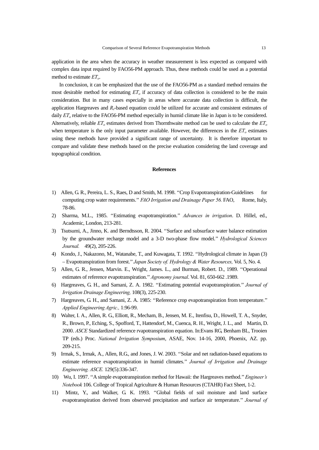application in the area when the accuracy in weather measurement is less expected as compared with complex data input required by FAO56-PM approach. Thus, these methods could be used as a potential method to estimate *ETo*.

In conclusion, it can be emphasized that the use of the FAO56-PM as a standard method remains the most desirable method for estimating  $ET<sub>o</sub>$  if accuracy of data collection is considered to be the main consideration. But in many cases especially in areas where accurate data collection is difficult, the application Hargreaves and *Rs*-based equation could be utilized for accurate and consistent estimates of daily *ET*<sub>o</sub> relative to the FAO56-PM method especially in humid climate like in Japan is to be considered. Alternatively, reliable  $ET<sub>o</sub>$  estimates derived from Thornthwaite method can be used to calculate the  $ET<sub>o</sub>$ when temperature is the only input parameter available. However, the differences in the  $ET<sub>o</sub>$  estimates using these methods have provided a significant range of uncertainty. It is therefore important to compare and validate these methods based on the precise evaluation considering the land coverage and topographical condition.

## **References**

- 1) Allen, G. R., Pereira, L. S., Raes, D and Smith, M. 1998. ''Crop Evapotranspiration-Guidelines for computing crop water requirements.'' *FAO Irrigation and Drainage Paper 56.* FAO, Rome, Italy, 78-86.
- 2) Sharma, M.L., 1985. ''Estimating evapotranspiration.'' *Advances in irrigation*. D. Hillel, ed., Academic, London, 213-281.
- 3) Tsutsumi, A., Jinno, K. and Berndtsson, R. 2004. ''Surface and subsurface water balance estimation by the groundwater recharge model and a 3-D two-phase flow model.'' *Hydrological Sciences Journal.* 49(2), 205-226.
- 4) Kondo, J., Nakazono, M., Watanabe, T., and Kuwagata, T. 1992. ''Hydrological climate in Japan (3) – Evapotranspiration from forest.'' *Japan Society of. Hydrology & Water Resources,* Vol. 5, No. 4.
- 5) Allen, G. R., Jensen, Marvin. E., Wright, James. L., and Burman, Robert. D., 1989. ''Operational estimates of reference evapotranspiration.'' *Agronomy journal*. Vol. 81, 650-662 .1989.
- 6) Hargreaves, G. H., and Samani, Z. A. 1982. ''Estimating potential evapotranspiration.'' *Journal of Irrigation Drainage Engineering,* 108(3), 225-230.
- 7) Hargreaves, G. H., and Samani, Z. A. 1985: ''Reference crop evapotranspiration from temperature.'' *Applied Engineering Agric.,* 1:96-99.
- 8) Walter, I. A., Allen, R. G., Elliott, R., Mecham, B., Jensen, M. E., Itenfisu, D., Howell, T. A., Snyder, R., Brown, P., Eching, S., Spofford, T., Hattendorf, M., Cuenca, R. H., Wright, J. L., and Martin, D. 2000. *ASCE* Standardized reference rvapotranspiration equation. In:Evans RG, Benham BL, Trooien TP (eds.) Proc. *National Irrigation Symposium*, ASAE, Nov. 14-16, 2000, Phoenix, AZ. pp. 209-215.
- 9) Irmak, S., Irmak, A., Allen, R.G., and Jones, J. W. 2003. ''Solar and net radiation-based equations to estimate reference evapotranspiration in humid climates.'' *Journal of Irrigation and Drainage Engineering. ASCE.* 129(5):336-347.
- 10) Wu, I. 1997. ''A simple evapotranspiration method for Hawaii: the Hargreaves method.'' *Engineer's Notebook* 106. College of Tropical Agriculture & Human Resources (CTAHR) Fact Sheet, 1-2.
- 11) Mintz, Y., and Walker, G. K. 1993. ''Global fields of soil moisture and land surface evapotranspiration derived from observed precipitation and surface air temperature.'' *Journal of*